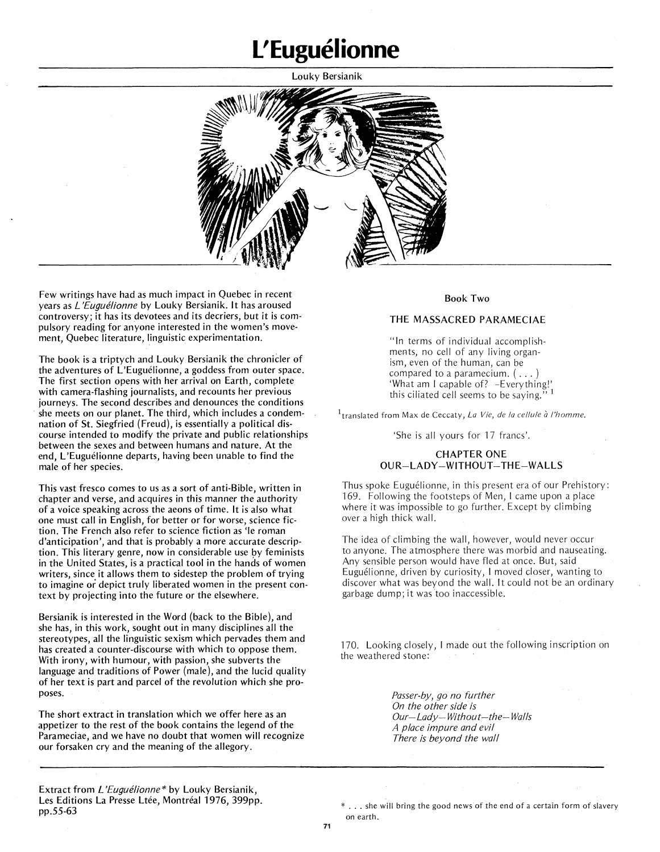# **L'Euguelionne**

Louky Bersianik



Few writings have had as much impact in Quebec in recent years as *L'Euguélionne* by Louky Bersianik. It has aroused controversy; it has its devotees and its decriers, but it is compulsory reading for anyone interested in the women's movement, Quebec literature, linguistic experimentation.

The book is a triptych and Louky Bersianik the chronicler of the adventures of L'Euguélionne, a goddess from outer space. The first section opens with her arrival on Earth, complete with camera-flashing journalists, and recounts her previous journeys. The second describes and denounces the conditions she meets on our planet. The third, which includes a condemnation of St. Siegfried (Freud), is essentially a political discourse intended to modify the private and public relationships between the sexes and between humans and nature. At the end, L'Euguélionne departs, having been unable to find the male of her species.

This vast fresco comes to us as a sort of anti-Bible, written in chapter and verse, and acquires in this manner the authority of a voice speaking across the aeons of time. It is also what one must call in English, for better or for worse, science fiction. The French also refer to science fiction as 'le roman d'anticipation', and that is probably a more accurate description. This literary genre, now in considerable use by feminists in the United States, is a practical tool in the hands of women writers, since it allows them to sidestep the problem of trying to imagine or depict truly liberated women in the present context by projecting into the future or the elsewhere.

Bersianik is interested in the Word (back to the Bible), and she has, in this work, sought out in many disciplines all the stereotypes, all the linguistic sexism which pervades them and has created a counter-discourse with which to oppose them. With irony, with humour, with passion, she subverts the language and traditions of Power (male), and the lucid quality of her text is part and parcel of the revolution which she proposes.

The short extract in translation which we offer here as an appetizer to the rest of the book contains the legend of the Parameciae, and we have no doubt that women will recognize our forsaken cry and the meaning of the allegory.

### Book Two

## THE MASSACRED PARAMECIAE

"In terms of individual accomplishments, no cell of any living organism, even of the human, can be compared to <sup>a</sup> paramecium. ( ... ) 'What am I capable of? -Everything!' this ciliated cell seems to be saying."<sup>1</sup>

 $1_{\text{translated from Max de Ceccaty, La Vie, de la cellule à l'homme.}$ 

'She is all yours for 17 francs'.

# CHAPTER ONE OUR-LADY-WITHOUT-THE-WALLS

Thus spoke Euguélionne, in this present era of our Prehistory: 169. Following the footsteps of Men, I came upon a place where it was impossible to go further. Except by climbing over a high thick wall.

The idea of climbing the wall, however, would never occur to anyone. The atmosphere there was morbid and nauseating. Any sensible person would have fled at once. But, said Euguelionne, driven by curiosity, I moved closer, wanting to discover what was beyond the wall. It could not be an ordinary garbage dump;it was 'too inaccessible.

170. Looking closely, I made out the following inscription on the weathered stone:

> *Passer-by, go no further On the other side'is Our-Lady-Without-the-Walls A place impure and evil There is beyond the wall*

Extract from *L'Euguelionne\** by Louky Bersianik, Les Editions La Presse Ltée, Montréal 1976, 399pp. pp.55-63

\* ... she will bring the good news of the end of <sup>a</sup> certain form of slavery on earth.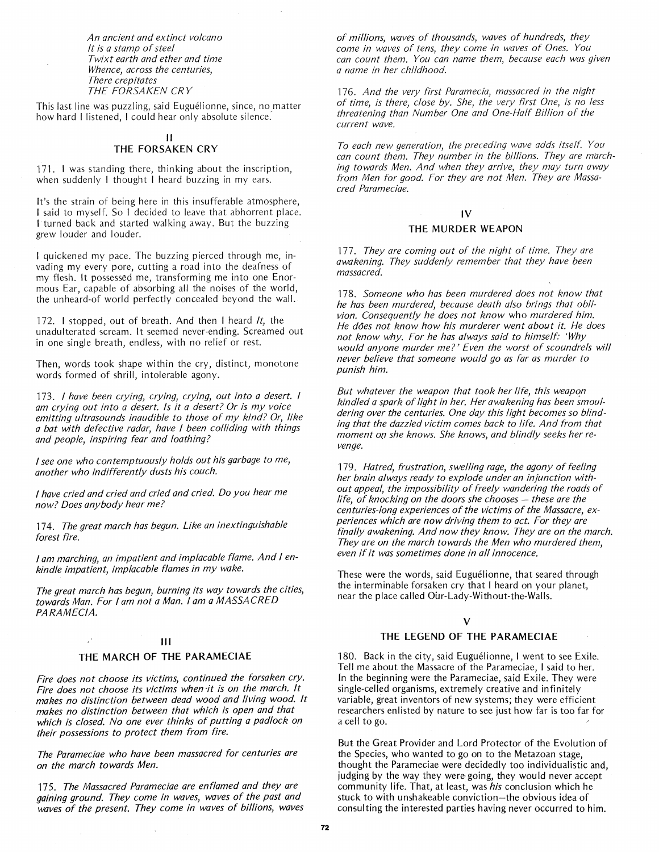*An ancient and extinct volcano It is a stamp* of*steel Twixt earth and ether and time Whence, across the centuries, There crepitates THE FORSAKEN CRY*

This last line was puzzling, said Euguélionne, since, no matter how hard I listened, I could hear only absolute silence:

#### 11

# THE FORSAKEN CRY

171. I was standing there, thinking about the inscription, when suddenly I thought I heard buzzing in my ears.

It's the strain of being here in this insufferable atmosphere, I said to myself. So I decided to leave that abhorrent place. t turned back and started walking away. But the buzzing grew louder and louder.

I quickened my pace. The buzzing pierced through me, invading my every pore, cutting a road into the deafness of my flesh. It possessed me, transforming me into one Enormous Ear, capable of absorbing all the noises of the world, the unheard-of world perfectly concealed beyond the wall.

172. I stopped, out of breath. And then I heard *It,* the unadulterated scream. It seemed never-ending. Screamed out in one single breath, endless, with no relief or rest.

Then, words took shape within the cry, distinct, monotone words formed of shrill, intolerable agony.

*173. I have been crying, crying, crying, out into a desert. I am crying out into a desert. Is it (J desert? Or is my voice emitting ultrasounds inaudible to those* of *my kind? Or, like a bat with defective radar, have I been colliding with things and people, inspiring fear and loathing?*

*Isee one who contemptuously holds out his garbage to me, another who indifferently dusts his couch.*

*I have cried and cried and cried and cried. Do you hear me now? Does anybody hear me?*

*174. The great march has begun. Like an inextinguishable forest fire.*

*I am marching, an impatient and implacable flame. And I enkindle impatient, implacable flames in my wake.*

*The great march has begun, burning its way towards the cities, towards Man. For I am not a Man. I am a MASSACRED PARAMECIA.*

### III

## THE MARCH OF THE PARAMECIAE

*Fire does not choose its victims, continued the forsaken cry. Fire does not choose its victims when ·it is on the march. It makes no distinction between dead wood and living wood. It makes no distinction between that which is open and that which is closed. No one ever thinks* of *putting a padlock on their possessions to protect them from fire.*

*The Parameciae who have been massacred for centuries are on the march towards Men.*

*175. The Massacred Parameciae are enflamed and they are gaining ground. They come in waves, waves* of *the past and waves of the present. They come in waves* of *billions, waves*

of *millions, waves* of *thousands, waves of hundreds, they come in waves* of *tens, they come in waves* of *Ones. You can count them. You can name them, because each was given a name in her childhood.*

*176. And the very first Paramecia, massacred in the night* of *time, is there, close by. She, the very first One, is no less threatening than Number One and One-Half Billion of the current wave.*

*To each new generation, the preceding wave adds itself. You can count them. They number in the billions. They are marching towards Men. And when they arrive, they may turn away from Men for good. For they are not Men. They are Massacred Parameciae.*

# IV

#### THE MURDER WEAPON

*177. They are coming out* of *the night* of *time. They are awakening. They suddenly remember that they have been massacred.*

*178. Someone who has been murdered does not know that he has been murdered, because death also brings that oblivion. Consequently he does not know* who *murdered him. He does not know how his murderer went about it. He does not know why. For he has always said to himself: 'Why would anyone murder me?' Even the worst* of*scoundrels will never believe that someone would go as far as murder to punish him.*

*But whatever the weapon that took her life, this weapon kindled a spark oflight in her. Her awakening has been smouldering over the centuries. One day this light becomes* so *blinding that the dazzled victim comes back to life. And from that moment* 0(7 *she knows. She knows, and blindly seeks her revenge.*

*179. Hatred, frustration, swelling rage, the agony* of *feeling her brain always ready to explode under an injunction without appeal, the impossibility of freely wandering the roads* of *life,* of *knocking on the doors she chooses* - *these are the centuries-long experiences* of*the victims* of*the Massacre, experiences which are now driving them to act. For they are finally awakening. And now they know. They are on the march. They are on the march towards the Men who murdered them even ifit was sometimes done in all innocence. '*

These were the words, said Euguélionne, that seared through the interminable forsaken cry that I heard on your planet, near the place called Our-Lady-Without-the-Walls.

#### V

#### THE LEGEND OF THE PARAMECIAE

180. Back in the city, said Euguélionne, I went to see Exile. Tell me about the Massacre of the Parameciae, I said to her. In the beginning were the Parameciae, said Exile. They were single-celled organisms, extremely creative and infinitely variable, great inventors of new systems; they were efficient researchers enlisted by nature to see just how far is too far for a cell to go.

But the Great Provider and Lord Protector of the Evolution of the Species, who wanted to go on to the Metazoan stage, thought the Parameciae were decidedly too individualistic and judging by the way they were going, they would never accept community life. That, at least, was *his* conclusion which he stuck to with unshakeable conviction-the obvious idea of consulting the interested parties having never occurred to him.